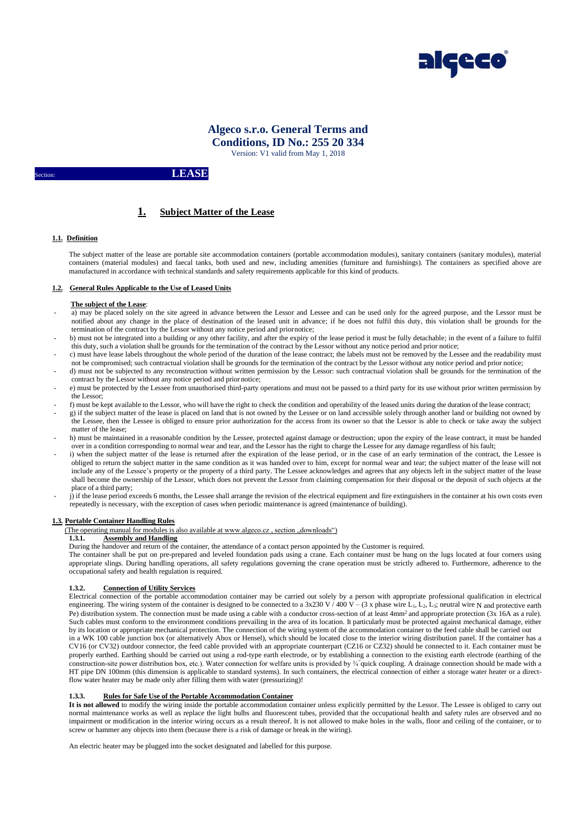

# **Algeco s.r.o. General Terms and Conditions, ID No.: 255 20 334**

Version: V1 valid from May 1, 2018

# LEASE

# **1. Subject Matter of the Lease**

# **1.1. Definition**

The subject matter of the lease are portable site accommodation containers (portable accommodation modules), sanitary containers (sanitary modules), material containers (material modules) and faecal tanks, both used and new, including amenities (furniture and furnishings). The containers as specified above are manufactured in accordance with technical standards and safety requirements applicable for this kind of products.

## **1.2. General Rules Applicable to the Use of Leased Units**

## **The subject of the Lease**:

- a) may be placed solely on the site agreed in advance between the Lessor and Lessee and can be used only for the agreed purpose, and the Lessor must be notified about any change in the place of destination of the leased unit in advance; if he does not fulfil this duty, this violation shall be grounds for the termination of the contract by the Lessor without any notice period and priornotice;
- b) must not be integrated into a building or any other facility, and after the expiry of the lease period it must be fully detachable; in the event of a failure to fulfil this duty, such a violation shall be grounds for the termination of the contract by the Lessor without any notice period and prior notice;
- c) must have lease labels throughout the whole period of the duration of the lease contract; the labels must not be removed by the Lessee and the readability must not be compromised; such contractual violation shall be grounds for the termination of the contract by the Lessor without any notice period and prior notice; - d) must not be subjected to any reconstruction without written permission by the Lessor: such contractual violation shall be grounds for the termination of the
- contract by the Lessor without any notice period and prior notice; - e) must be protected by the Lessee from unauthorised third-party operations and must not be passed to a third party for its use without prior written permission by
- the Lessor;
- f) must be kept available to the Lessor, who will have the right to check the condition and operability of the leased units during the duration of the lease contract; g) if the subject matter of the lease is placed on land that is not owned by the Lessee or on land accessible solely through another land or building not owned by
- the Lessee, then the Lessee is obliged to ensure prior authorization for the access from its owner so that the Lessor is able to check or take away the subject matter of the lease;
- h) must be maintained in a reasonable condition by the Lessee, protected against damage or destruction; upon the expiry of the lease contract, it must be handed over in a condition corresponding to normal wear and tear, and the Lessor has the right to charge the Lessee for any damage regardless of his fault;
- i) when the subject matter of the lease is returned after the expiration of the lease period, or in the case of an early termination of the contract, the Lessee is obliged to return the subject matter in the same condition as it was handed over to him, except for normal wear and tear; the subject matter of the lease will not include any of the Lessee's property or the property of a third party. The Lessee acknowledges and agrees that any objects left in the subject matter of the lease shall become the ownership of the Lessor, which does not prevent the Lessor from claiming compensation for their disposal or the deposit of such objects at the place of a third party;
- j) if the lease period exceeds 6 months, the Lessee shall arrange the revision of the electrical equipment and fire extinguishers in the container at his own costs even repeatedly is necessary, with the exception of cases when periodic maintenance is agreed (maintenance of building).

## **1.3. Portable Container Handling Rules**

(The operating manual for modules is also available at www.algeco.cz, section, downloads")

# **1.3.1. Assembly and Handling**

During the handover and return of the container, the attendance of a contact person appointed by the Customer is required.

The container shall be put on pre-prepared and leveled foundation pads using a crane. Each container must be hung on the lugs located at four corners using appropriate slings. During handling operations, all safety regulations governing the crane operation must be strictly adhered to. Furthermore, adherence to the occupational safety and health regulation is required.

# **1.3.2. Connection of Utility Services**

Electrical connection of the portable accommodation container may be carried out solely by a person with appropriate professional qualification in electrical engineering. The wiring system of the container is designed to be connected to a 3x230 V / 400 V – (3 x phase wire L<sub>1</sub>, L<sub>2</sub>, L<sub>3</sub>; neutral wire N and protective earth Pe) distribution system. The connection must be made using a cable with a conductor cross-section of at least  $4mm^2$  and appropriate protection  $(3x \text{ 16A as a rule})$ . Such cables must conform to the environment conditions prevailing in the area of its location. It particularly must be protected against mechanical damage, either by its location or appropriate mechanical protection. The connection of the wiring system of the accommodation container to the feed cable shall be carried out in a WK 100 cable junction box (or alternatively Abox or Hensel), which should be located close to the interior wiring distribution panel. If the container has a

CV16 (or CV32) outdoor connector, the feed cable provided with an appropriate counterpart (CZ16 or CZ32) should be connected to it. Each container must be properly earthed. Earthing should be carried out using a rod-type earth electrode, or by establishing a connection to the existing earth electrode (earthing of the construction-site power distribution box, etc.). Water connection for welfare units is provided by ¾"quick coupling. A drainage connection should be made with a HT pipe DN 100mm (this dimension is applicable to standard systems). In such containers, the electrical connection of either a storage water heater or a directflow water heater may be made only after filling them with water (pressurizing)!

# **1.3.3. Rules for Safe Use of the Portable Accommodation Container**

**It is not allowed** to modify the wiring inside the portable accommodation container unless explicitly permitted by the Lessor. The Lessee is obliged to carry out normal maintenance works as well as replace the light bulbs and fluorescent tubes, provided that the occupational health and safety rules are observed and no impairment or modification in the interior wiring occurs as a result thereof. It is not allowed to make holes in the walls, floor and ceiling of the container, or to screw or hammer any objects into them (because there is a risk of damage or break in the wiring).

An electric heater may be plugged into the socket designated and labelled for this purpose.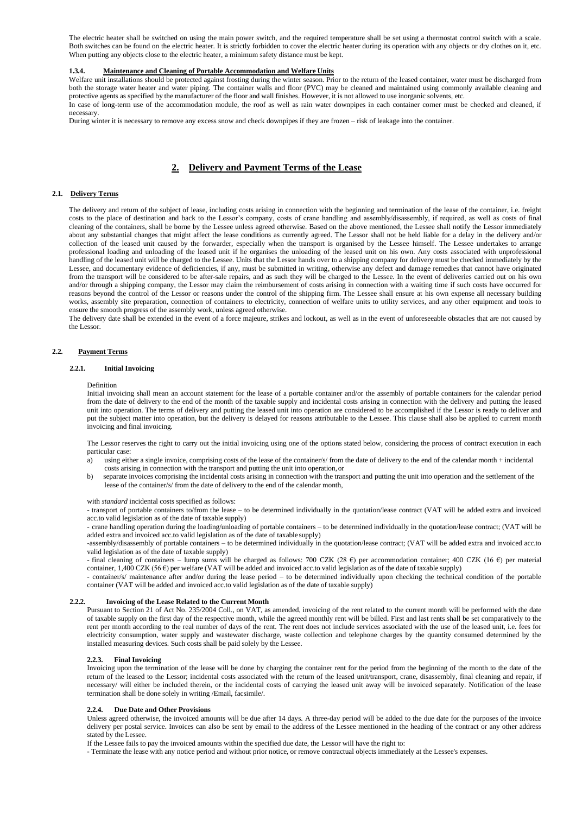The electric heater shall be switched on using the main power switch, and the required temperature shall be set using a thermostat control switch with a scale. Both switches can be found on the electric heater. It is strictly forbidden to cover the electric heater during its operation with any objects or dry clothes on it, etc. When putting any objects close to the electric heater, a minimum safety distance must be kept.

#### **1.3.4. Maintenance and Cleaning of Portable Accommodation and Welfare Units**

Welfare unit installations should be protected against frosting during the winter season. Prior to the return of the leased container, water must be discharged from both the storage water heater and water piping. The container walls and floor (PVC) may be cleaned and maintained using commonly available cleaning and protective agents as specified by the manufacturer of the floor and wall finishes. However, it is not allowed to use inorganic solvents, etc. In case of long-term use of the accommodation module, the roof as well as rain water downpipes in each container corner must be checked and cleaned, if necessary.

During winter it is necessary to remove any excess snow and check downpipes if they are frozen – risk of leakage into the container.

# **2. Delivery and Payment Terms of the Lease**

## **2.1. Delivery Terms**

The delivery and return of the subject of lease, including costs arising in connection with the beginning and termination of the lease of the container, i.e. freight costs to the place of destination and back to the Lessor's company, costs of crane handling and assembly/disassembly, if required, as well as costs of final cleaning of the containers, shall be borne by the Lessee unless agreed otherwise. Based on the above mentioned, the Lessee shall notify the Lessor immediately about any substantial changes that might affect the lease conditions as currently agreed. The Lessor shall not be held liable for a delay in the delivery and/or collection of the leased unit caused by the forwarder, especially when the transport is organised by the Lessee himself. The Lessee undertakes to arrange professional loading and unloading of the leased unit if he organises the unloading of the leased unit on his own. Any costs associated with unprofessional handling of the leased unit will be charged to the Lessee. Units that the Lessor hands over to a shipping company for delivery must be checked immediately by the Lessee, and documentary evidence of deficiencies, if any, must be submitted in writing, otherwise any defect and damage remedies that cannot have originated from the transport will be considered to be after-sale repairs, and as such they will be charged to the Lessee. In the event of deliveries carried out on his own and/or through a shipping company, the Lessor may claim the reimbursement of costs arising in connection with a waiting time if such costs have occurred for reasons beyond the control of the Lessor or reasons under the control of the shipping firm. The Lessee shall ensure at his own expense all necessary building works, assembly site preparation, connection of containers to electricity, connection of welfare units to utility services, and any other equipment and tools to ensure the smooth progress of the assembly work, unless agreed otherwise.

The delivery date shall be extended in the event of a force majeure, strikes and lockout, as well as in the event of unforeseeable obstacles that are not caused by the Lessor.

#### **2.2. Payment Terms**

## **2.2.1. Initial Invoicing**

#### Definition

Initial invoicing shall mean an account statement for the lease of a portable container and/or the assembly of portable containers for the calendar period from the date of delivery to the end of the month of the taxable supply and incidental costs arising in connection with the delivery and putting the leased unit into operation. The terms of delivery and putting the leased unit into operation are considered to be accomplished if the Lessor is ready to deliver and put the subject matter into operation, but the delivery is delayed for reasons attributable to the Lessee. This clause shall also be applied to current month invoicing and final invoicing.

The Lessor reserves the right to carry out the initial invoicing using one of the options stated below, considering the process of contract execution in each particular case:

- a) using either a single invoice, comprising costs of the lease of the container/s/ from the date of delivery to the end of the calendar month + incidental costs arising in connection with the transport and putting the unit into operation,or
- b) separate invoices comprising the incidental costs arising in connection with the transport and putting the unit into operation and the settlement of the lease of the container/s/ from the date of delivery to the end of the calendar month,

with *standard* incidental costs specified as follows:

- transport of portable containers to/from the lease – to be determined individually in the quotation/lease contract (VAT will be added extra and invoiced acc.to valid legislation as of the date of taxable supply)

- crane handling operation during the loading/unloading of portable containers – to be determined individually in the quotation/lease contract; (VAT will be added extra and invoiced acc.to valid legislation as of the date of taxable supply)

-assembly/disassembly of portable containers – to be determined individually in the quotation/lease contract; (VAT will be added extra and invoiced acc.to valid legislation as of the date of taxable supply)

- final cleaning of containers – lump sums will be charged as follows: 700 CZK (28  $\epsilon$ ) per accommodation container; 400 CZK (16  $\epsilon$ ) per material container, 1,400 CZK (56 €) per welfare (VAT will be added and invoiced acc.to valid legislation as of the date of taxable supply)

- container/s/ maintenance after and/or during the lease period – to be determined individually upon checking the technical condition of the portable container (VAT will be added and invoiced acc.to valid legislation as of the date of taxable supply)

#### **2.2.2. Invoicing of the Lease Related to the Current Month**

Pursuant to Section 21 of Act No. 235/2004 Coll., on VAT, as amended, invoicing of the rent related to the current month will be performed with the date of taxable supply on the first day of the respective month, while the agreed monthly rent will be billed. First and last rents shall be set comparatively to the rent per month according to the real number of days of the rent. The rent does not include services associated with the use of the leased unit, i.e. fees for electricity consumption, water supply and wastewater discharge, waste collection and telephone charges by the quantity consumed determined by the installed measuring devices. Such costs shall be paid solely by the Lessee.

#### **2.2.3. Final Invoicing**

Invoicing upon the termination of the lease will be done by charging the container rent for the period from the beginning of the month to the date of the return of the leased to the Lessor; incidental costs associated with the return of the leased unit/transport, crane, disassembly, final cleaning and repair, if necessary/ will either be included therein, or the incidental costs of carrying the leased unit away will be invoiced separately. Notification of the lease termination shall be done solely in writing /Email, facsimile/.

#### **2.2.4. Due Date and Other Provisions**

Unless agreed otherwise, the invoiced amounts will be due after 14 days. A three-day period will be added to the due date for the purposes of the invoice delivery per postal service. Invoices can also be sent by email to the address of the Lessee mentioned in the heading of the contract or any other address stated by the Lessee.

If the Lessee fails to pay the invoiced amounts within the specified due date, the Lessor will have the right to:

- Terminate the lease with any notice period and without prior notice, or remove contractual objects immediately at the Lessee's expenses.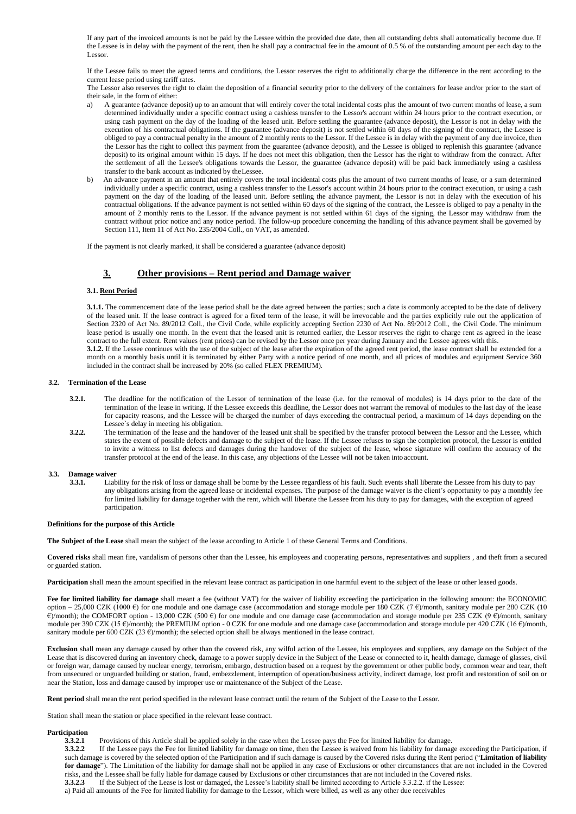If any part of the invoiced amounts is not be paid by the Lessee within the provided due date, then all outstanding debts shall automatically become due. If the Lessee is in delay with the payment of the rent, then he shall pay a contractual fee in the amount of 0.5 % of the outstanding amount per each day to the Lessor.

If the Lessee fails to meet the agreed terms and conditions, the Lessor reserves the right to additionally charge the difference in the rent according to the current lease period using tariff rates.

The Lessor also reserves the right to claim the deposition of a financial security prior to the delivery of the containers for lease and/or prior to the start of their sale, in the form of either:

- a) A guarantee (advance deposit) up to an amount that will entirely cover the total incidental costs plus the amount of two current months of lease, a sum determined individually under a specific contract using a cashless transfer to the Lessor's account within 24 hours prior to the contract execution, or using cash payment on the day of the loading of the leased unit. Before settling the guarantee (advance deposit), the Lessor is not in delay with the execution of his contractual obligations. If the guarantee (advance deposit) is not settled within 60 days of the signing of the contract, the Lessee is obliged to pay a contractual penalty in the amount of 2 monthly rents to the Lessor. If the Lessee is in delay with the payment of any due invoice, then the Lessor has the right to collect this payment from the guarantee (advance deposit), and the Lessee is obliged to replenish this guarantee (advance deposit) to its original amount within 15 days. If he does not meet this obligation, then the Lessor has the right to withdraw from the contract. After the settlement of all the Lessee's obligations towards the Lessor, the guarantee (advance deposit) will be paid back immediately using a cashless transfer to the bank account as indicated by theLessee.
- b) An advance payment in an amount that entirely covers the total incidental costs plus the amount of two current months of lease, or a sum determined individually under a specific contract, using a cashless transfer to the Lessor's account within 24 hours prior to the contract execution, or using a cash payment on the day of the loading of the leased unit. Before settling the advance payment, the Lessor is not in delay with the execution of his contractual obligations. If the advance payment is not settled within 60 days of the signing of the contract, the Lessee is obliged to pay a penalty in the amount of 2 monthly rents to the Lessor. If the advance payment is not settled within 61 days of the signing, the Lessor may withdraw from the contract without prior notice and any notice period. The follow-up procedure concerning the handling of this advance payment shall be governed by Section 111, Item 11 of Act No. 235/2004 Coll., on VAT, as amended.

If the payment is not clearly marked, it shall be considered a guarantee (advance deposit)

# **3. Other provisions – Rent period and Damage waiver**

## **3.1. Rent Period**

**3.1.1.** The commencement date of the lease period shall be the date agreed between the parties; such a date is commonly accepted to be the date of delivery of the leased unit. If the lease contract is agreed for a fixed term of the lease, it will be irrevocable and the parties explicitly rule out the application of Section 2320 of Act No. 89/2012 Coll., the Civil Code, while explicitly accepting Section 2230 of Act No. 89/2012 Coll., the Civil Code. The minimum lease period is usually one month. In the event that the leased unit is returned earlier, the Lessor reserves the right to charge rent as agreed in the lease contract to the full extent. Rent values (rent prices) can be revised by the Lessor once per year during January and the Lessee agrees with this. **3.1.2.** If the Lessee continues with the use of the subject of the lease after the expiration of the agreed rent period, the lease contract shall be extended for a

month on a monthly basis until it is terminated by either Party with a notice period of one month, and all prices of modules and equipment Service 360 included in the contract shall be increased by 20% (so called FLEX PREMIUM).

#### **3.2. Termination of the Lease**

- **3.2.1.** The deadline for the notification of the Lessor of termination of the lease (i.e. for the removal of modules) is 14 days prior to the date of the termination of the lease in writing. If the Lessee exceeds this deadline, the Lessor does not warrant the removal of modules to the last day of the lease for capacity reasons, and the Lessee will be charged the number of days exceeding the contractual period, a maximum of 14 days depending on the Lessee`s delay in meeting his obligation.
- **3.2.2.** The termination of the lease and the handover of the leased unit shall be specified by the transfer protocol between the Lessor and the Lessee, which states the extent of possible defects and damage to the subject of the lease. If the Lessee refuses to sign the completion protocol, the Lessor is entitled to invite a witness to list defects and damages during the handover of the subject of the lease, whose signature will confirm the accuracy of the transfer protocol at the end of the lease. In this case, any objections of the Lessee will not be taken into account.

#### **3.3. Damage waiver**

**3.3.1.** Liability for the risk of loss or damage shall be borne by the Lessee regardless of his fault. Such events shall liberate the Lessee from his duty to pay any obligations arising from the agreed lease or incidental expenses. The purpose of the damage waiver is the client's opportunity to pay a monthly fee for limited liability for damage together with the rent, which will liberate the Lessee from his duty to pay for damages, with the exception of agreed participation.

## **Definitions for the purpose of this Article**

**The Subject of the Lease** shall mean the subject of the lease according to Article 1 of these General Terms and Conditions.

**Covered risks** shall mean fire, vandalism of persons other than the Lessee, his employees and cooperating persons, representatives and suppliers , and theft from a secured or guarded station.

Participation shall mean the amount specified in the relevant lease contract as participation in one harmful event to the subject of the lease or other leased goods.

Fee for limited liability for damage shall meant a fee (without VAT) for the waiver of liability exceeding the participation in the following amount: the ECONOMIC option – 25,000 CZK (1000 €) for one module and one damage case (accommodation and storage module per 180 CZK (7 €)/month, sanitary module per 280 CZK (10  $\epsilon$ )/month); the COMFORT option - 13,000 CZK (500  $\epsilon$ ) for one module and one damage case (accommodation and storage module per 235 CZK (9 $\epsilon$ )/month, sanitary module per 390 CZK (15 €)/month); the PREMIUM option - 0 CZK for one module and one damage case (accommodation and storage module per 420 CZK (16 €)/month, sanitary module per 600 CZK (23  $\varepsilon$ )/month); the selected option shall be always mentioned in the lease contract.

Exclusion shall mean any damage caused by other than the covered risk, any wilful action of the Lessee, his employees and suppliers, any damage on the Subject of the Lease that is discovered during an inventory check, damage to a power supply device in the Subject of the Lease or connected to it, health damage, damage of glasses, civil or foreign war, damage caused by nuclear energy, terrorism, embargo, destruction based on a request by the government or other public body, common wear and tear, theft from unsecured or unguarded building or station, fraud, embezzlement, interruption of operation/business activity, indirect damage, lost profit and restoration of soil on or near the Station, loss and damage caused by improper use or maintenance of the Subject of the Lease.

**Rent period** shall mean the rent period specified in the relevant lease contract until the return of the Subject of the Lease to the Lessor.

Station shall mean the station or place specified in the relevant lease contract.

# **Participation**

**3.3.2.1** Provisions of this Article shall be applied solely in the case when the Lessee pays the Fee for limited liability for damage.<br>**3.3.2.2** If the Lessee pays the Fee for limited liability for damage on time, then th

**3.3.2.2** If the Lessee pays the Fee for limited liability for damage on time, then the Lessee is waived from his liability for damage exceeding the Participation, if such damage is covered by the selected option of the Participation and if such damage is caused by the Covered risks during the Rent period ("**Limitation of liability for damage**"). The Limitation of the liability for damage shall not be applied in any case of Exclusions or other circumstances that are not included in the Covered risks, and the Lessee shall be fully liable for damage caused by Exclusions or other circumstances that are not included in the Covered risks.

**3.3.2.3** If the Subject of the Lease is lost or damaged, the Lessee's liability shall be limited according to Article 3.3.2.2. if the Lessee: a) Paid all amounts of the Fee for limited liability for damage to the Lessor, which were billed, as well as any other due receivables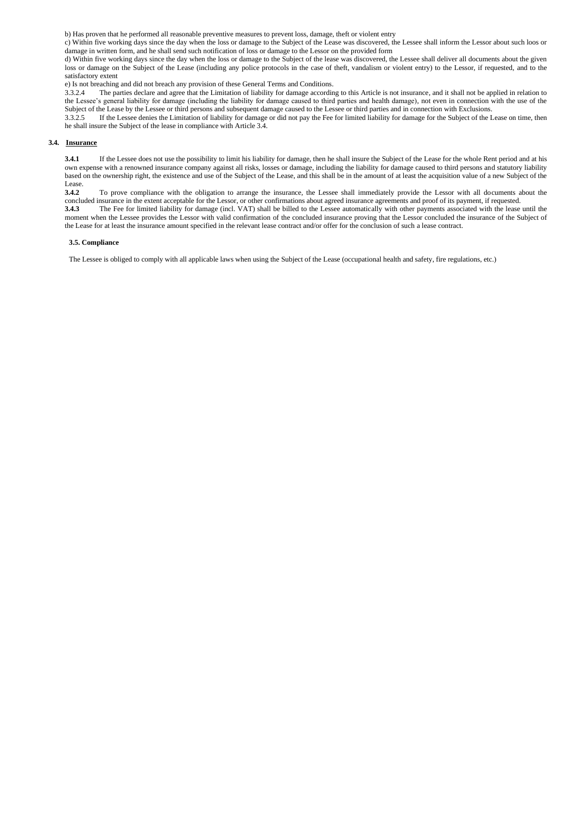b) Has proven that he performed all reasonable preventive measures to prevent loss, damage, theft or violent entry

c) Within five working days since the day when the loss or damage to the Subject of the Lease was discovered, the Lessee shall inform the Lessor about such loos or damage in written form, and he shall send such notification of loss or damage to the Lessor on the provided form

d) Within five working days since the day when the loss or damage to the Subject of the lease was discovered, the Lessee shall deliver all documents about the given loss or damage on the Subject of the Lease (including any police protocols in the case of theft, vandalism or violent entry) to the Lessor, if requested, and to the satisfactory extent

e) Is not breaching and did not breach any provision of these General Terms and Conditions.<br>3.3.2.4 The parties declare and agree that the Limitation of liability for damage according

The parties declare and agree that the Limitation of liability for damage according to this Article is not insurance, and it shall not be applied in relation to the Lessee's general liability for damage (including the liability for damage caused to third parties and health damage), not even in connection with the use of the Subject of the Lease by the Lessee or third persons and subsequent damage caused to the Lessee or third parties and in connection with Exclusions.

3.3.2.5 If the Lessee denies the Limitation of liability for damage or did not pay the Fee for limited liability for damage for the Subject of the Lease on time, then he shall insure the Subject of the lease in compliance with Article 3.4.

## **3.4. Insurance**

**3.4.1** If the Lessee does not use the possibility to limit his liability for damage, then he shall insure the Subject of the Lease for the whole Rent period and at his own expense with a renowned insurance company against all risks, losses or damage, including the liability for damage caused to third persons and statutory liability based on the ownership right, the existence and use of the Subject of the Lease, and this shall be in the amount of at least the acquisition value of a new Subject of the Lease.<br>3.4.2

**3.4.2** To prove compliance with the obligation to arrange the insurance, the Lessee shall immediately provide the Lessor with all documents about the concluded insurance in the extent acceptable for the Lessor, or other confirmations about agreed insurance agreements and proof of its payment, if requested.<br>3.4.3 The Fee for limited liability for damage (incl. VAT) shall **3.4.3** The Fee for limited liability for damage (incl. VAT) shall be billed to the Lessee automatically with other payments associated with the lease until the moment when the Lessee provides the Lessor with valid confirmation of the concluded insurance proving that the Lessor concluded the insurance of the Subject of the Lease for at least the insurance amount specified in the relevant lease contract and/or offer for the conclusion of such a lease contract.

#### **3.5. Compliance**

The Lessee is obliged to comply with all applicable laws when using the Subject of the Lease (occupational health and safety, fire regulations, etc.)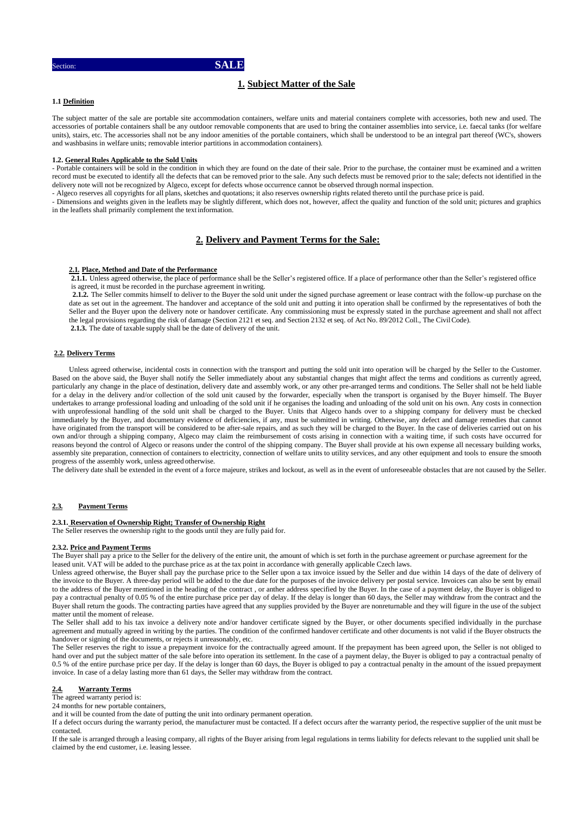Section: **SALE**

# **1. Subject Matter of the Sale**

# **1.1 Definition**

The subject matter of the sale are portable site accommodation containers, welfare units and material containers complete with accessories, both new and used. The accessories of portable containers shall be any outdoor removable components that are used to bring the container assemblies into service, i.e. faecal tanks (for welfare units), stairs, etc. The accessories shall not be any indoor amenities of the portable containers, which shall be understood to be an integral part thereof (WC's, showers and washbasins in welfare units; removable interior partitions in accommodation containers).

#### **1.2. General Rules Applicable to the Sold Units**

- Portable containers will be sold in the condition in which they are found on the date of their sale. Prior to the purchase, the container must be examined and a written record must be executed to identify all the defects that can be removed prior to the sale. Any such defects must be removed prior to the sale; defects not identified in the delivery note will not be recognized by Algeco, except for defects whose occurrence cannot be observed through normal inspection.

- Algeco reserves all copyrights for all plans, sketches and quotations; it also reserves ownership rights related thereto until the purchase price is paid.

- Dimensions and weights given in the leaflets may be slightly different, which does not, however, affect the quality and function of the sold unit; pictures and graphics in the leaflets shall primarily complement the textinformation.

# **2. Delivery and Payment Terms for the Sale:**

## **2.1. Place, Method and Date of the Performance**

**2.1.1.** Unless agreed otherwise, the place of performance shall be the Seller's registered office. If a place of performance other than the Seller's registered office is agreed, it must be recorded in the purchase agreement inwriting.

**2.1.2.** The Seller commits himself to deliver to the Buyer the sold unit under the signed purchase agreement or lease contract with the follow-up purchase on the date as set out in the agreement. The handover and acceptance of the sold unit and putting it into operation shall be confirmed by the representatives of both the Seller and the Buyer upon the delivery note or handover certificate. Any commissioning must be expressly stated in the purchase agreement and shall not affect the legal provisions regarding the risk of damage (Section 2121 et seq. and Section 2132 et seq. of Act No. 89/2012 Coll., The CivilCode). **2.1.3.** The date of taxable supply shall be the date of delivery of the unit.

# **2.2. Delivery Terms**

Unless agreed otherwise, incidental costs in connection with the transport and putting the sold unit into operation will be charged by the Seller to the Customer. Based on the above said, the Buyer shall notify the Seller immediately about any substantial changes that might affect the terms and conditions as currently agreed, particularly any change in the place of destination, delivery date and assembly work, or any other pre-arranged terms and conditions. The Seller shall not be held liable for a delay in the delivery and/or collection of the sold unit caused by the forwarder, especially when the transport is organised by the Buyer himself. The Buyer undertakes to arrange professional loading and unloading of the sold unit if he organises the loading and unloading of the sold unit on his own. Any costs in connection with unprofessional handling of the sold unit shall be charged to the Buyer. Units that Algeco hands over to a shipping company for delivery must be checked immediately by the Buyer, and documentary evidence of deficiencies, if any, must be submitted in writing. Otherwise, any defect and damage remedies that cannot have originated from the transport will be considered to be after-sale repairs, and as such they will be charged to the Buyer. In the case of deliveries carried out on his own and/or through a shipping company, Algeco may claim the reimbursement of costs arising in connection with a waiting time, if such costs have occurred for reasons beyond the control of Algeco or reasons under the control of the shipping company. The Buyer shall provide at his own expense all necessary building works, assembly site preparation, connection of containers to electricity, connection of welfare units to utility services, and any other equipment and tools to ensure the smooth progress of the assembly work, unless agreed otherwise.

The delivery date shall be extended in the event of a force majeure, strikes and lockout, as well as in the event of unforeseeable obstacles that are not caused by the Seller.

#### **2.3. Payment Terms**

## **2.3.1. Reservation of Ownership Right; Transfer of Ownership Right**

The Seller reserves the ownership right to the goods until they are fully paid for.

#### **2.3.2. Price and Payment Terms**

The Buyer shall pay a price to the Seller for the delivery of the entire unit, the amount of which is set forth in the purchase agreement or purchase agreement for the leased unit. VAT will be added to the purchase price as at the tax point in accordance with generally applicable Czech laws.

Unless agreed otherwise, the Buyer shall pay the purchase price to the Seller upon a tax invoice issued by the Seller and due within 14 days of the date of delivery of the invoice to the Buyer. A three-day period will be added to the due date for the purposes of the invoice delivery per postal service. Invoices can also be sent by email to the address of the Buyer mentioned in the heading of the contract , or anther address specified by the Buyer. In the case of a payment delay, the Buyer is obliged to pay a contractual penalty of 0.05 % of the entire purchase price per day of delay. If the delay is longer than 60 days, the Seller may withdraw from the contract and the Buyer shall return the goods. The contracting parties have agreed that any supplies provided by the Buyer are nonreturnable and they will figure in the use of the subject matter until the moment of release.

The Seller shall add to his tax invoice a delivery note and/or handover certificate signed by the Buyer, or other documents specified individually in the purchase agreement and mutually agreed in writing by the parties. The condition of the confirmed handover certificate and other documents is not valid if the Buyer obstructs the handover or signing of the documents, or rejects it unreasonably, etc.

The Seller reserves the right to issue a prepayment invoice for the contractually agreed amount. If the prepayment has been agreed upon, the Seller is not obliged to hand over and put the subject matter of the sale before into operation its settlement. In the case of a payment delay, the Buyer is obliged to pay a contractual penalty of 0.5 % of the entire purchase price per day. If the delay is longer than 60 days, the Buyer is obliged to pay a contractual penalty in the amount of the issued prepayment invoice. In case of a delay lasting more than 61 days, the Seller may withdraw from the contract.

#### **2.4. Warranty Terms**

The agreed warranty period is:

24 months for new portable containers,

and it will be counted from the date of putting the unit into ordinary permanent operation.

If a defect occurs during the warranty period, the manufacturer must be contacted. If a defect occurs after the warranty period, the respective supplier of the unit must be contacted.

If the sale is arranged through a leasing company, all rights of the Buyer arising from legal regulations in terms liability for defects relevant to the supplied unit shall be claimed by the end customer, i.e. leasing lessee.